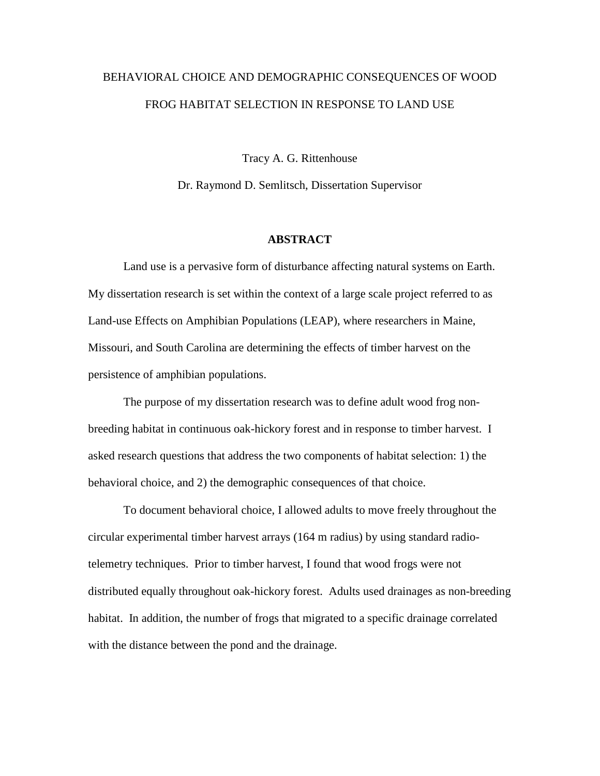## BEHAVIORAL CHOICE AND DEMOGRAPHIC CONSEQUENCES OF WOOD FROG HABITAT SELECTION IN RESPONSE TO LAND USE

Tracy A. G. Rittenhouse

Dr. Raymond D. Semlitsch, Dissertation Supervisor

## **ABSTRACT**

Land use is a pervasive form of disturbance affecting natural systems on Earth. My dissertation research is set within the context of a large scale project referred to as Land-use Effects on Amphibian Populations (LEAP), where researchers in Maine, Missouri, and South Carolina are determining the effects of timber harvest on the persistence of amphibian populations.

The purpose of my dissertation research was to define adult wood frog nonbreeding habitat in continuous oak-hickory forest and in response to timber harvest. I asked research questions that address the two components of habitat selection: 1) the behavioral choice, and 2) the demographic consequences of that choice.

To document behavioral choice, I allowed adults to move freely throughout the circular experimental timber harvest arrays (164 m radius) by using standard radiotelemetry techniques. Prior to timber harvest, I found that wood frogs were not distributed equally throughout oak-hickory forest. Adults used drainages as non-breeding habitat. In addition, the number of frogs that migrated to a specific drainage correlated with the distance between the pond and the drainage.